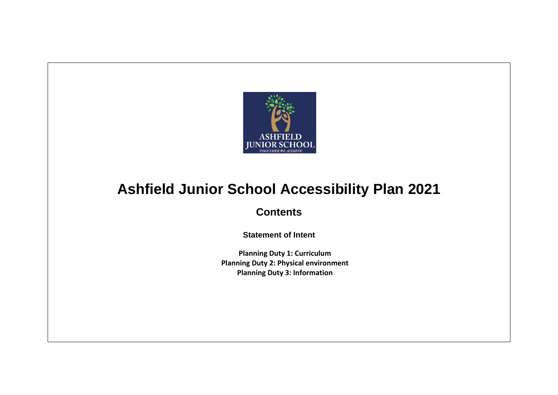

## **Ashfield Junior School Accessibility Plan 2021**

**Contents**

**Statement of Intent**

**Planning Duty 1: Curriculum Planning Duty 2: Physical environment Planning Duty 3: Information**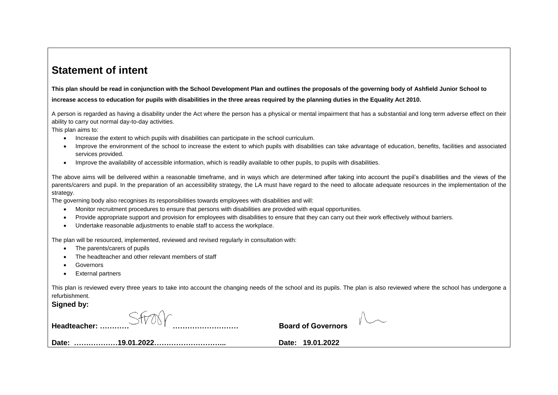## **Statement of intent**

**This plan should be read in conjunction with the School Development Plan and outlines the proposals of the governing body of Ashfield Junior School to increase access to education for pupils with disabilities in the three areas required by the planning duties in the Equality Act 2010.** 

A person is regarded as having a disability under the Act where the person has a physical or mental impairment that has a substantial and long term adverse effect on their ability to carry out normal day-to-day activities.

This plan aims to:

- Increase the extent to which pupils with disabilities can participate in the school curriculum.
- Improve the environment of the school to increase the extent to which pupils with disabilities can take advantage of education, benefits, facilities and associated services provided.
- Improve the availability of accessible information, which is readily available to other pupils, to pupils with disabilities.

The above aims will be delivered within a reasonable timeframe, and in ways which are determined after taking into account the pupil's disabilities and the views of the parents/carers and pupil. In the preparation of an accessibility strategy, the LA must have regard to the need to allocate adequate resources in the implementation of the strategy.

The governing body also recognises its responsibilities towards employees with disabilities and will:

- Monitor recruitment procedures to ensure that persons with disabilities are provided with equal opportunities.
- Provide appropriate support and provision for employees with disabilities to ensure that they can carry out their work effectively without barriers.
- Undertake reasonable adjustments to enable staff to access the workplace.

The plan will be resourced, implemented, reviewed and revised regularly in consultation with:

- The parents/carers of pupils
- The headteacher and other relevant members of staff
- Governors
- External partners

This plan is reviewed every three years to take into account the changing needs of the school and its pupils. The plan is also reviewed where the school has undergone a refurbishment.

**Signed by:**

| <b>Board of Governors</b><br>Headteacher: |  |
|-------------------------------------------|--|
| Date: 19.01.2022                          |  |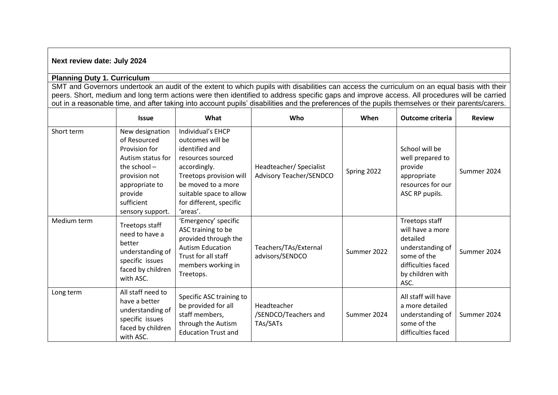## **Next review date: July 2024**

## **Planning Duty 1. Curriculum**

SMT and Governors undertook an audit of the extent to which pupils with disabilities can access the curriculum on an equal basis with their peers. Short, medium and long term actions were then identified to address specific gaps and improve access. All procedures will be carried out in a reasonable time, and after taking into account pupils' disabilities and the preferences of the pupils themselves or their parents/carers.

|             | <b>Issue</b>                                                                                                                                                            | What                                                                                                                                                                                                            | Who                                                       | When        | Outcome criteria                                                                                                                    | <b>Review</b> |
|-------------|-------------------------------------------------------------------------------------------------------------------------------------------------------------------------|-----------------------------------------------------------------------------------------------------------------------------------------------------------------------------------------------------------------|-----------------------------------------------------------|-------------|-------------------------------------------------------------------------------------------------------------------------------------|---------------|
| Short term  | New designation<br>of Resourced<br>Provision for<br>Autism status for<br>the school $-$<br>provision not<br>appropriate to<br>provide<br>sufficient<br>sensory support. | Individual's EHCP<br>outcomes will be<br>identified and<br>resources sourced<br>accordingly.<br>Treetops provision will<br>be moved to a more<br>suitable space to allow<br>for different, specific<br>'areas'. | Headteacher/ Specialist<br><b>Advisory Teacher/SENDCO</b> | Spring 2022 | School will be<br>well prepared to<br>provide<br>appropriate<br>resources for our<br>ASC RP pupils.                                 | Summer 2024   |
| Medium term | Treetops staff<br>need to have a<br>better<br>understanding of<br>specific issues<br>faced by children<br>with ASC.                                                     | 'Emergency' specific<br>ASC training to be<br>provided through the<br><b>Autism Education</b><br>Trust for all staff<br>members working in<br>Treetops.                                                         | Teachers/TAs/External<br>advisors/SENDCO                  | Summer 2022 | Treetops staff<br>will have a more<br>detailed<br>understanding of<br>some of the<br>difficulties faced<br>by children with<br>ASC. | Summer 2024   |
| Long term   | All staff need to<br>have a better<br>understanding of<br>specific issues<br>faced by children<br>with ASC.                                                             | Specific ASC training to<br>be provided for all<br>staff members,<br>through the Autism<br><b>Education Trust and</b>                                                                                           | Headteacher<br>/SENDCO/Teachers and<br>TAs/SATs           | Summer 2024 | All staff will have<br>a more detailed<br>understanding of<br>some of the<br>difficulties faced                                     | Summer 2024   |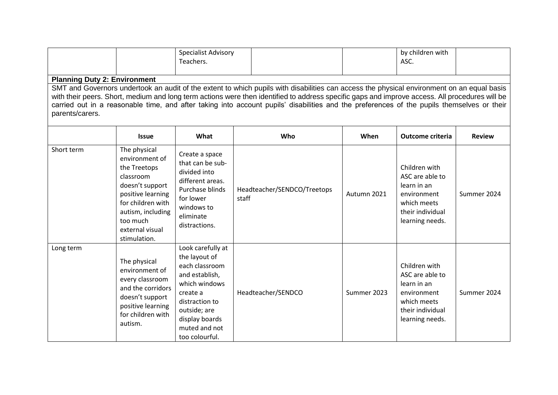|                                                                                                                                                                                                                                                                                                                                                                                                                                                                                                      |                                                                                                                                                                                              | <b>Specialist Advisory</b><br>Teachers.                                                                                                                                                    |                                      |             | by children with<br>ASC.                                                                                             |               |  |
|------------------------------------------------------------------------------------------------------------------------------------------------------------------------------------------------------------------------------------------------------------------------------------------------------------------------------------------------------------------------------------------------------------------------------------------------------------------------------------------------------|----------------------------------------------------------------------------------------------------------------------------------------------------------------------------------------------|--------------------------------------------------------------------------------------------------------------------------------------------------------------------------------------------|--------------------------------------|-------------|----------------------------------------------------------------------------------------------------------------------|---------------|--|
| <b>Planning Duty 2: Environment</b><br>SMT and Governors undertook an audit of the extent to which pupils with disabilities can access the physical environment on an equal basis<br>with their peers. Short, medium and long term actions were then identified to address specific gaps and improve access. All procedures will be<br>carried out in a reasonable time, and after taking into account pupils' disabilities and the preferences of the pupils themselves or their<br>parents/carers. |                                                                                                                                                                                              |                                                                                                                                                                                            |                                      |             |                                                                                                                      |               |  |
|                                                                                                                                                                                                                                                                                                                                                                                                                                                                                                      | <b>Issue</b>                                                                                                                                                                                 | What                                                                                                                                                                                       | Who                                  | When        | <b>Outcome criteria</b>                                                                                              | <b>Review</b> |  |
| Short term                                                                                                                                                                                                                                                                                                                                                                                                                                                                                           | The physical<br>environment of<br>the Treetops<br>classroom<br>doesn't support<br>positive learning<br>for children with<br>autism, including<br>too much<br>external visual<br>stimulation. | Create a space<br>that can be sub-<br>divided into<br>different areas.<br>Purchase blinds<br>for lower<br>windows to<br>eliminate<br>distractions.                                         | Headteacher/SENDCO/Treetops<br>staff | Autumn 2021 | Children with<br>ASC are able to<br>learn in an<br>environment<br>which meets<br>their individual<br>learning needs. | Summer 2024   |  |
| Long term                                                                                                                                                                                                                                                                                                                                                                                                                                                                                            | The physical<br>environment of<br>every classroom<br>and the corridors<br>doesn't support<br>positive learning<br>for children with<br>autism.                                               | Look carefully at<br>the layout of<br>each classroom<br>and establish,<br>which windows<br>create a<br>distraction to<br>outside; are<br>display boards<br>muted and not<br>too colourful. | Headteacher/SENDCO                   | Summer 2023 | Children with<br>ASC are able to<br>learn in an<br>environment<br>which meets<br>their individual<br>learning needs. | Summer 2024   |  |